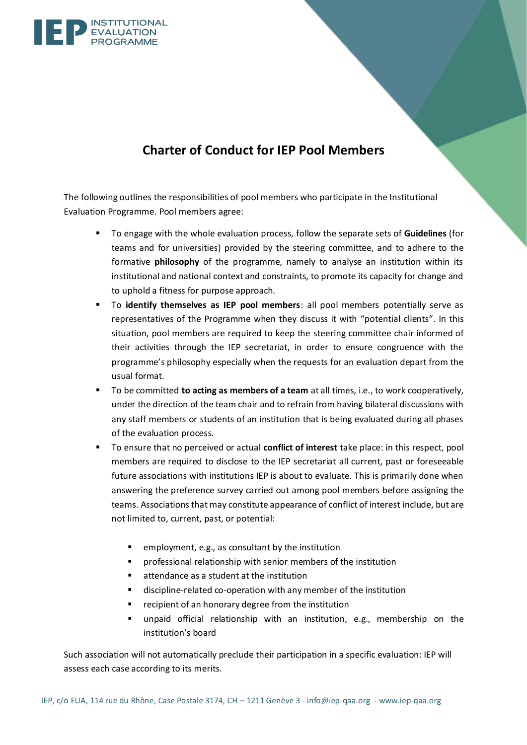

## **Charter of Conduct for IEP Pool Members**

The following outlines the responsibilities of pool members who participate in the Institutional Evaluation Programme. Pool members agree:

- To engage with the whole evaluation process, follow the separate sets of **Guidelines** (for teams and for universities) provided by the steering committee, and to adhere to the formative **philosophy** of the programme, namely to analyse an institution within its institutional and national context and constraints, to promote its capacity for change and to uphold a fitness for purpose approach.
- To **identify themselves as IEP pool members**: all pool members potentially serve as representatives of the Programme when they discuss it with "potential clients". In this situation, pool members are required to keep the steering committee chair informed of their activities through the IEP secretariat, in order to ensure congruence with the programme's philosophy especially when the requests for an evaluation depart from the usual format.
- To be committed **to acting as members of a team** at all times, i.e., to work cooperatively, under the direction of the team chair and to refrain from having bilateral discussions with any staff members or students of an institution that is being evaluated during all phases of the evaluation process.
- To ensure that no perceived or actual **conflict of interest** take place: in this respect, pool members are required to disclose to the IEP secretariat all current, past or foreseeable future associations with institutions IEP is about to evaluate. This is primarily done when answering the preference survey carried out among pool members before assigning the teams. Associations that may constitute appearance of conflict of interest include, but are not limited to, current, past, or potential:
	- employment, e.g., as consultant by the institution
	- professional relationship with senior members of the institution
	- attendance as a student at the institution
	- discipline-related co-operation with any member of the institution
	- recipient of an honorary degree from the institution
	- unpaid official relationship with an institution, e.g., membership on the institution's board

Such association will not automatically preclude their participation in a specific evaluation: IEP will assess each case according to its merits.